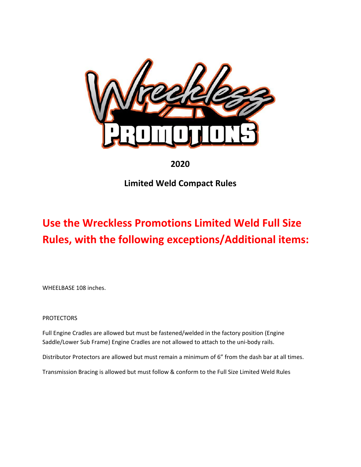

## **2020**

## **Limited Weld Compact Rules**

## **Use the Wreckless Promotions Limited Weld Full Size Rules, with the following exceptions/Additional items:**

WHEELBASE 108 inches.

PROTECTORS

Full Engine Cradles are allowed but must be fastened/welded in the factory position (Engine Saddle/Lower Sub Frame) Engine Cradles are not allowed to attach to the uni-body rails.

Distributor Protectors are allowed but must remain a minimum of 6" from the dash bar at all times.

Transmission Bracing is allowed but must follow & conform to the Full Size Limited Weld Rules